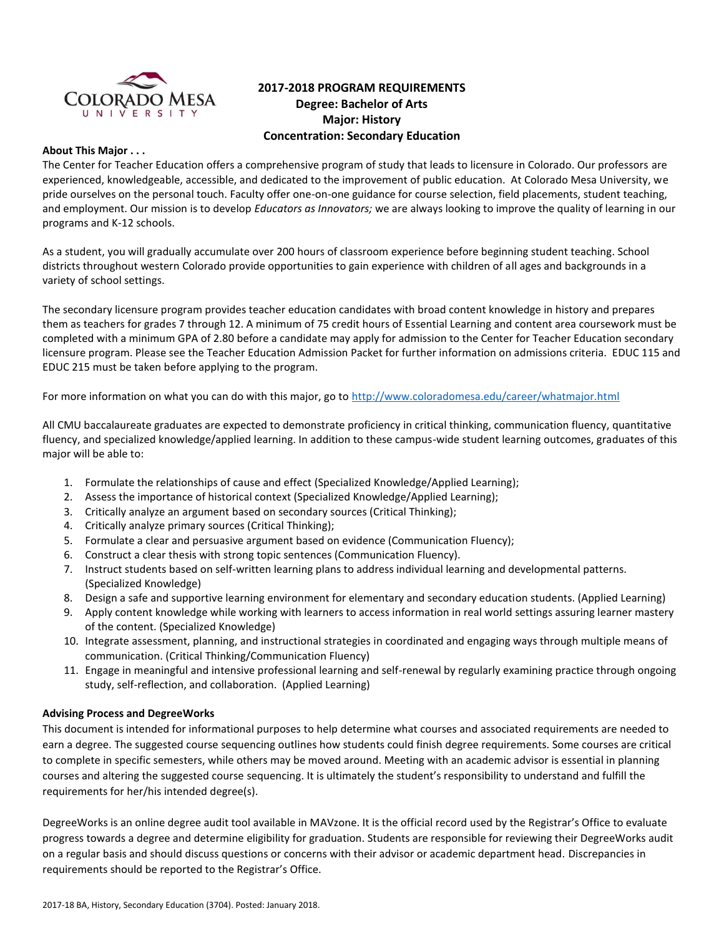

# **2017-2018 PROGRAM REQUIREMENTS Degree: Bachelor of Arts Major: History Concentration: Secondary Education**

### **About This Major . . .**

The Center for Teacher Education offers a comprehensive program of study that leads to licensure in Colorado. Our professors are experienced, knowledgeable, accessible, and dedicated to the improvement of public education. At Colorado Mesa University, we pride ourselves on the personal touch. Faculty offer one-on-one guidance for course selection, field placements, student teaching, and employment. Our mission is to develop *Educators as Innovators;* we are always looking to improve the quality of learning in our programs and K-12 schools.

As a student, you will gradually accumulate over 200 hours of classroom experience before beginning student teaching. School districts throughout western Colorado provide opportunities to gain experience with children of all ages and backgrounds in a variety of school settings.

The secondary licensure program provides teacher education candidates with broad content knowledge in history and prepares them as teachers for grades 7 through 12. A minimum of 75 credit hours of Essential Learning and content area coursework must be completed with a minimum GPA of 2.80 before a candidate may apply for admission to the Center for Teacher Education secondary licensure program. Please see the Teacher Education Admission Packet for further information on admissions criteria. EDUC 115 and EDUC 215 must be taken before applying to the program.

For more information on what you can do with this major, go to<http://www.coloradomesa.edu/career/whatmajor.html>

All CMU baccalaureate graduates are expected to demonstrate proficiency in critical thinking, communication fluency, quantitative fluency, and specialized knowledge/applied learning. In addition to these campus-wide student learning outcomes, graduates of this major will be able to:

- 1. Formulate the relationships of cause and effect (Specialized Knowledge/Applied Learning);
- 2. Assess the importance of historical context (Specialized Knowledge/Applied Learning);
- 3. Critically analyze an argument based on secondary sources (Critical Thinking);
- 4. Critically analyze primary sources (Critical Thinking);
- 5. Formulate a clear and persuasive argument based on evidence (Communication Fluency);
- 6. Construct a clear thesis with strong topic sentences (Communication Fluency).
- 7. Instruct students based on self-written learning plans to address individual learning and developmental patterns. (Specialized Knowledge)
- 8. Design a safe and supportive learning environment for elementary and secondary education students. (Applied Learning)
- 9. Apply content knowledge while working with learners to access information in real world settings assuring learner mastery of the content. (Specialized Knowledge)
- 10. Integrate assessment, planning, and instructional strategies in coordinated and engaging ways through multiple means of communication. (Critical Thinking/Communication Fluency)
- 11. Engage in meaningful and intensive professional learning and self-renewal by regularly examining practice through ongoing study, self-reflection, and collaboration. (Applied Learning)

# **Advising Process and DegreeWorks**

This document is intended for informational purposes to help determine what courses and associated requirements are needed to earn a degree. The suggested course sequencing outlines how students could finish degree requirements. Some courses are critical to complete in specific semesters, while others may be moved around. Meeting with an academic advisor is essential in planning courses and altering the suggested course sequencing. It is ultimately the student's responsibility to understand and fulfill the requirements for her/his intended degree(s).

DegreeWorks is an online degree audit tool available in MAVzone. It is the official record used by the Registrar's Office to evaluate progress towards a degree and determine eligibility for graduation. Students are responsible for reviewing their DegreeWorks audit on a regular basis and should discuss questions or concerns with their advisor or academic department head. Discrepancies in requirements should be reported to the Registrar's Office.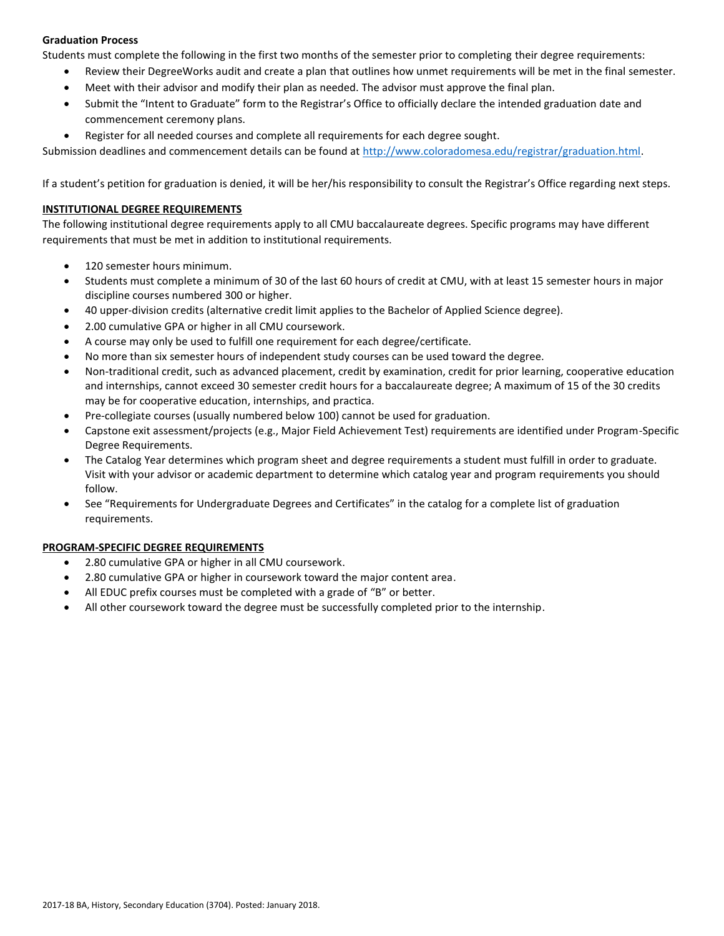# **Graduation Process**

Students must complete the following in the first two months of the semester prior to completing their degree requirements:

- Review their DegreeWorks audit and create a plan that outlines how unmet requirements will be met in the final semester.
- Meet with their advisor and modify their plan as needed. The advisor must approve the final plan.
- Submit the "Intent to Graduate" form to the Registrar's Office to officially declare the intended graduation date and commencement ceremony plans.
- Register for all needed courses and complete all requirements for each degree sought.

Submission deadlines and commencement details can be found at [http://www.coloradomesa.edu/registrar/graduation.html.](http://www.coloradomesa.edu/registrar/graduation.html)

If a student's petition for graduation is denied, it will be her/his responsibility to consult the Registrar's Office regarding next steps.

### **INSTITUTIONAL DEGREE REQUIREMENTS**

The following institutional degree requirements apply to all CMU baccalaureate degrees. Specific programs may have different requirements that must be met in addition to institutional requirements.

- 120 semester hours minimum.
- Students must complete a minimum of 30 of the last 60 hours of credit at CMU, with at least 15 semester hours in major discipline courses numbered 300 or higher.
- 40 upper-division credits (alternative credit limit applies to the Bachelor of Applied Science degree).
- 2.00 cumulative GPA or higher in all CMU coursework.
- A course may only be used to fulfill one requirement for each degree/certificate.
- No more than six semester hours of independent study courses can be used toward the degree.
- Non-traditional credit, such as advanced placement, credit by examination, credit for prior learning, cooperative education and internships, cannot exceed 30 semester credit hours for a baccalaureate degree; A maximum of 15 of the 30 credits may be for cooperative education, internships, and practica.
- Pre-collegiate courses (usually numbered below 100) cannot be used for graduation.
- Capstone exit assessment/projects (e.g., Major Field Achievement Test) requirements are identified under Program-Specific Degree Requirements.
- The Catalog Year determines which program sheet and degree requirements a student must fulfill in order to graduate. Visit with your advisor or academic department to determine which catalog year and program requirements you should follow.
- See "Requirements for Undergraduate Degrees and Certificates" in the catalog for a complete list of graduation requirements.

# **PROGRAM-SPECIFIC DEGREE REQUIREMENTS**

- 2.80 cumulative GPA or higher in all CMU coursework.
- 2.80 cumulative GPA or higher in coursework toward the major content area.
- All EDUC prefix courses must be completed with a grade of "B" or better.
- All other coursework toward the degree must be successfully completed prior to the internship.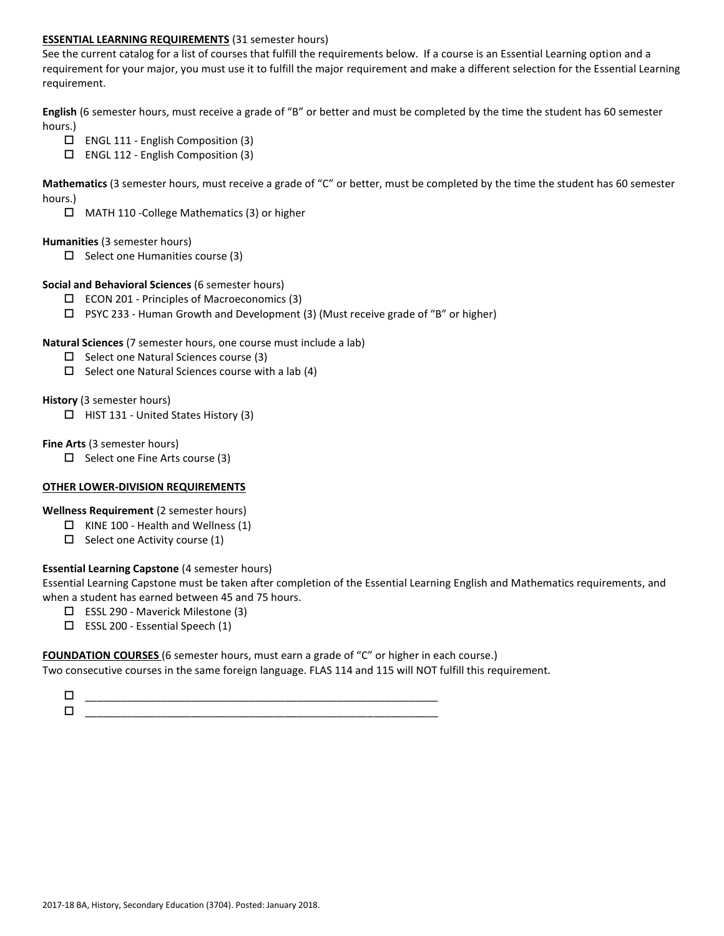## **ESSENTIAL LEARNING REQUIREMENTS** (31 semester hours)

See the current catalog for a list of courses that fulfill the requirements below. If a course is an Essential Learning option and a requirement for your major, you must use it to fulfill the major requirement and make a different selection for the Essential Learning requirement.

**English** (6 semester hours, must receive a grade of "B" or better and must be completed by the time the student has 60 semester hours.)

- ENGL 111 English Composition (3)
- ENGL 112 English Composition (3)

**Mathematics** (3 semester hours, must receive a grade of "C" or better, must be completed by the time the student has 60 semester hours.)

MATH 110 -College Mathematics (3) or higher

#### **Humanities** (3 semester hours)

 $\square$  Select one Humanities course (3)

### **Social and Behavioral Sciences** (6 semester hours)

- ECON 201 Principles of Macroeconomics (3)
- $\Box$  PSYC 233 Human Growth and Development (3) (Must receive grade of "B" or higher)

### **Natural Sciences** (7 semester hours, one course must include a lab)

- $\square$  Select one Natural Sciences course (3)
- $\Box$  Select one Natural Sciences course with a lab (4)

### **History** (3 semester hours)

 $\Box$  HIST 131 - United States History (3)

### **Fine Arts** (3 semester hours)

 $\Box$  Select one Fine Arts course (3)

# **OTHER LOWER-DIVISION REQUIREMENTS**

**Wellness Requirement** (2 semester hours)

- $\Box$  KINE 100 Health and Wellness (1)
- $\Box$  Select one Activity course (1)

# **Essential Learning Capstone** (4 semester hours)

Essential Learning Capstone must be taken after completion of the Essential Learning English and Mathematics requirements, and when a student has earned between 45 and 75 hours.

- ESSL 290 Maverick Milestone (3)
- $\Box$  ESSL 200 Essential Speech (1)

#### **FOUNDATION COURSES** (6 semester hours, must earn a grade of "C" or higher in each course.)

Two consecutive courses in the same foreign language. FLAS 114 and 115 will NOT fulfill this requirement.

| _________<br>_________<br>______<br>________<br>_______<br>__ |
|---------------------------------------------------------------|
| -<br>______________<br>_____________                          |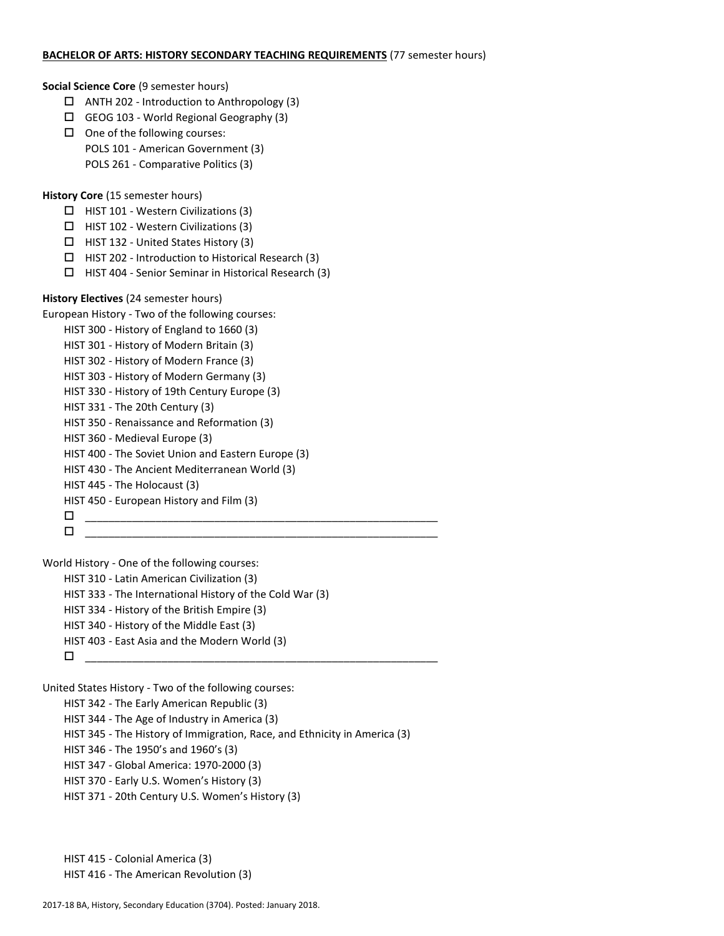#### **BACHELOR OF ARTS: HISTORY SECONDARY TEACHING REQUIREMENTS** (77 semester hours)

#### **Social Science Core** (9 semester hours)

- $\Box$  ANTH 202 Introduction to Anthropology (3)
- GEOG 103 World Regional Geography (3)
- $\Box$  One of the following courses: POLS 101 - American Government (3) POLS 261 - Comparative Politics (3)

**History Core** (15 semester hours)

- $\Box$  HIST 101 Western Civilizations (3)
- $\Box$  HIST 102 Western Civilizations (3)
- $\Box$  HIST 132 United States History (3)
- $\Box$  HIST 202 Introduction to Historical Research (3)
- $\Box$  HIST 404 Senior Seminar in Historical Research (3)

# **History Electives** (24 semester hours)

```
European History - Two of the following courses:
HIST 300 - History of England to 1660 (3)
```
- HIST 301 History of Modern Britain (3)
- HIST 302 History of Modern France (3)
- HIST 303 History of Modern Germany (3)
- HIST 330 History of 19th Century Europe (3)
- HIST 331 The 20th Century (3)
- HIST 350 Renaissance and Reformation (3)
- 
- HIST 360 Medieval Europe (3)
- HIST 400 The Soviet Union and Eastern Europe (3)
- HIST 430 The Ancient Mediterranean World (3)
- HIST 445 The Holocaust (3)
- HIST 450 European History and Film (3)
- \_\_\_\_\_\_\_\_\_\_\_\_\_\_\_\_\_\_\_\_\_\_\_\_\_\_\_\_\_\_\_\_\_\_\_\_\_\_\_\_\_\_\_\_\_\_\_\_\_\_\_\_\_\_\_\_\_\_\_\_

 $\Box$ 

World History - One of the following courses: HIST 310 - Latin American Civilization (3) HIST 333 - The International History of the Cold War (3) HIST 334 - History of the British Empire (3) HIST 340 - History of the Middle East (3) HIST 403 - East Asia and the Modern World (3) \_\_\_\_\_\_\_\_\_\_\_\_\_\_\_\_\_\_\_\_\_\_\_\_\_\_\_\_\_\_\_\_\_\_\_\_\_\_\_\_\_\_\_\_\_\_\_\_\_\_\_\_\_\_\_\_\_\_\_\_

United States History - Two of the following courses:

HIST 342 - The Early American Republic (3)

HIST 344 - The Age of Industry in America (3)

HIST 345 - The History of Immigration, Race, and Ethnicity in America (3)

HIST 346 - The 1950's and 1960's (3)

- HIST 347 Global America: 1970-2000 (3)
- HIST 370 Early U.S. Women's History (3)
- HIST 371 20th Century U.S. Women's History (3)

HIST 415 - Colonial America (3) HIST 416 - The American Revolution (3)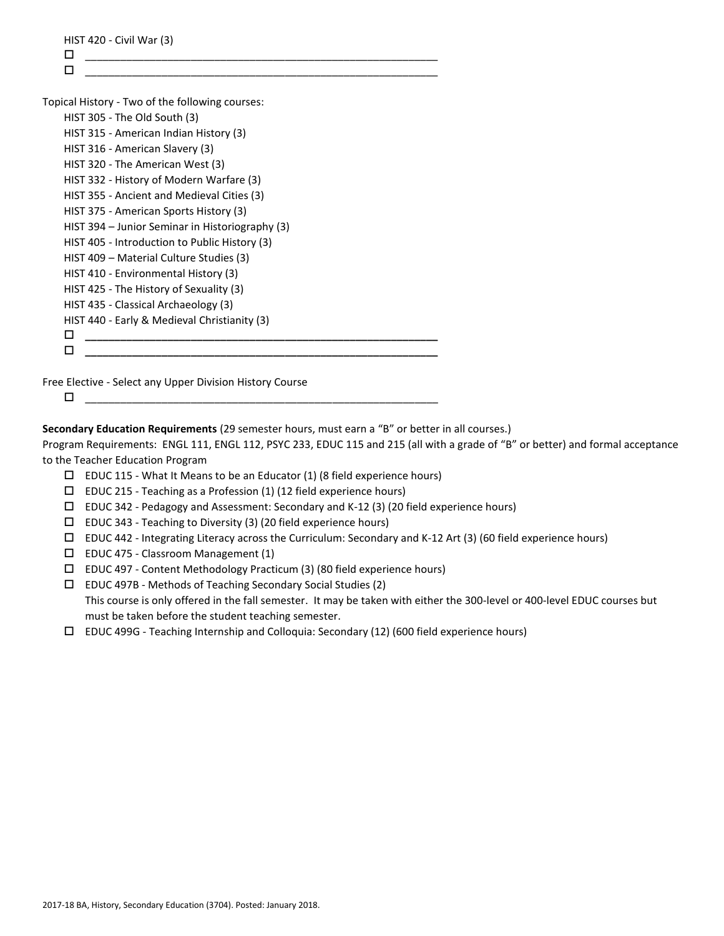| п                                               |  |
|-------------------------------------------------|--|
| Topical History - Two of the following courses: |  |
| HIST 305 - The Old South (3)                    |  |
| HIST 315 - American Indian History (3)          |  |
| HIST 316 - American Slavery (3)                 |  |
| HIST 320 - The American West (3)                |  |
| HIST 332 - History of Modern Warfare (3)        |  |
| HIST 355 - Ancient and Medieval Cities (3)      |  |
| HIST 375 - American Sports History (3)          |  |
| HIST 394 – Junior Seminar in Historiography (3) |  |
| HIST 405 - Introduction to Public History (3)   |  |
| HIST 409 – Material Culture Studies (3)         |  |
| HIST 410 - Environmental History (3)            |  |
| HIST 425 - The History of Sexuality (3)         |  |
| HIST 435 - Classical Archaeology (3)            |  |
| HIST 440 - Early & Medieval Christianity (3)    |  |
| П                                               |  |

Free Elective - Select any Upper Division History Course

 $\Box$ 

**Secondary Education Requirements** (29 semester hours, must earn a "B" or better in all courses.)

Program Requirements: ENGL 111, ENGL 112, PSYC 233, EDUC 115 and 215 (all with a grade of "B" or better) and formal acceptance to the Teacher Education Program

- $\square$  EDUC 115 What It Means to be an Educator (1) (8 field experience hours)
- $\square$  EDUC 215 Teaching as a Profession (1) (12 field experience hours)
- EDUC 342 Pedagogy and Assessment: Secondary and K-12 (3) (20 field experience hours)
- $\square$  EDUC 343 Teaching to Diversity (3) (20 field experience hours)
- $\Box$  EDUC 442 Integrating Literacy across the Curriculum: Secondary and K-12 Art (3) (60 field experience hours)
- $\square$  EDUC 475 Classroom Management (1)
- EDUC 497 Content Methodology Practicum (3) (80 field experience hours)
- EDUC 497B Methods of Teaching Secondary Social Studies (2) This course is only offered in the fall semester. It may be taken with either the 300-level or 400-level EDUC courses but must be taken before the student teaching semester.
- EDUC 499G Teaching Internship and Colloquia: Secondary (12) (600 field experience hours)